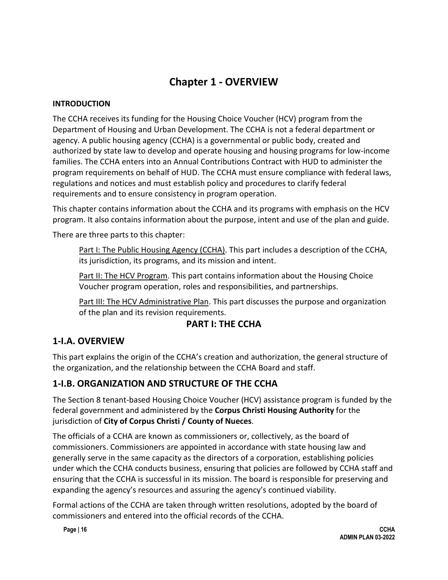# **Chapter 1 - OVERVIEW**

#### **INTRODUCTION**

The CCHA receives its funding for the Housing Choice Voucher (HCV) program from the Department of Housing and Urban Development. The CCHA is not a federal department or agency. A public housing agency (CCHA) is a governmental or public body, created and authorized by state law to develop and operate housing and housing programs for low-income families. The CCHA enters into an Annual Contributions Contract with HUD to administer the program requirements on behalf of HUD. The CCHA must ensure compliance with federal laws, regulations and notices and must establish policy and procedures to clarify federal requirements and to ensure consistency in program operation.

This chapter contains information about the CCHA and its programs with emphasis on the HCV program. It also contains information about the purpose, intent and use of the plan and guide.

There are three parts to this chapter:

Part I: The Public Housing Agency (CCHA). This part includes a description of the CCHA, its jurisdiction, its programs, and its mission and intent.

Part II: The HCV Program. This part contains information about the Housing Choice Voucher program operation, roles and responsibilities, and partnerships.

Part III: The HCV Administrative Plan. This part discusses the purpose and organization of the plan and its revision requirements.

### **PART I: THE CCHA**

# **1-I.A. OVERVIEW**

This part explains the origin of the CCHA's creation and authorization, the general structure of the organization, and the relationship between the CCHA Board and staff.

### **1-I.B. ORGANIZATION AND STRUCTURE OF THE CCHA**

The Section 8 tenant-based Housing Choice Voucher (HCV) assistance program is funded by the federal government and administered by the **Corpus Christi Housing Authority** for the jurisdiction of **City of Corpus Christi / County of Nueces**.

The officials of a CCHA are known as commissioners or, collectively, as the board of commissioners. Commissioners are appointed in accordance with state housing law and generally serve in the same capacity as the directors of a corporation, establishing policies under which the CCHA conducts business, ensuring that policies are followed by CCHA staff and ensuring that the CCHA is successful in its mission. The board is responsible for preserving and expanding the agency's resources and assuring the agency's continued viability.

Formal actions of the CCHA are taken through written resolutions, adopted by the board of commissioners and entered into the official records of the CCHA.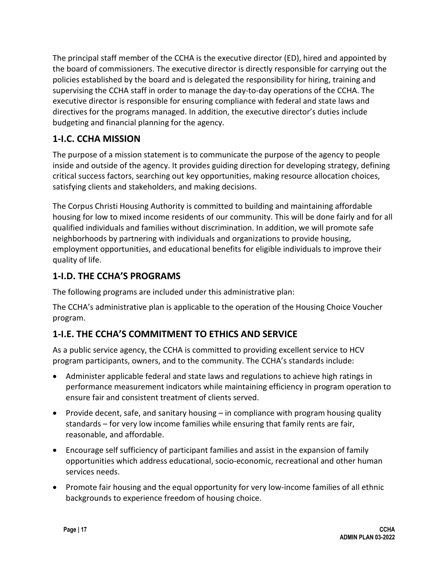The principal staff member of the CCHA is the executive director (ED), hired and appointed by the board of commissioners. The executive director is directly responsible for carrying out the policies established by the board and is delegated the responsibility for hiring, training and supervising the CCHA staff in order to manage the day-to-day operations of the CCHA. The executive director is responsible for ensuring compliance with federal and state laws and directives for the programs managed. In addition, the executive director's duties include budgeting and financial planning for the agency.

# **1-I.C. CCHA MISSION**

The purpose of a mission statement is to communicate the purpose of the agency to people inside and outside of the agency. It provides guiding direction for developing strategy, defining critical success factors, searching out key opportunities, making resource allocation choices, satisfying clients and stakeholders, and making decisions.

The Corpus Christi Housing Authority is committed to building and maintaining affordable housing for low to mixed income residents of our community. This will be done fairly and for all qualified individuals and families without discrimination. In addition, we will promote safe neighborhoods by partnering with individuals and organizations to provide housing, employment opportunities, and educational benefits for eligible individuals to improve their quality of life.

# **1-I.D. THE CCHA'S PROGRAMS**

The following programs are included under this administrative plan:

The CCHA's administrative plan is applicable to the operation of the Housing Choice Voucher program.

# **1-I.E. THE CCHA'S COMMITMENT TO ETHICS AND SERVICE**

As a public service agency, the CCHA is committed to providing excellent service to HCV program participants, owners, and to the community. The CCHA's standards include:

- Administer applicable federal and state laws and regulations to achieve high ratings in performance measurement indicators while maintaining efficiency in program operation to ensure fair and consistent treatment of clients served.
- Provide decent, safe, and sanitary housing in compliance with program housing quality standards – for very low income families while ensuring that family rents are fair, reasonable, and affordable.
- Encourage self sufficiency of participant families and assist in the expansion of family opportunities which address educational, socio-economic, recreational and other human services needs.
- Promote fair housing and the equal opportunity for very low-income families of all ethnic backgrounds to experience freedom of housing choice.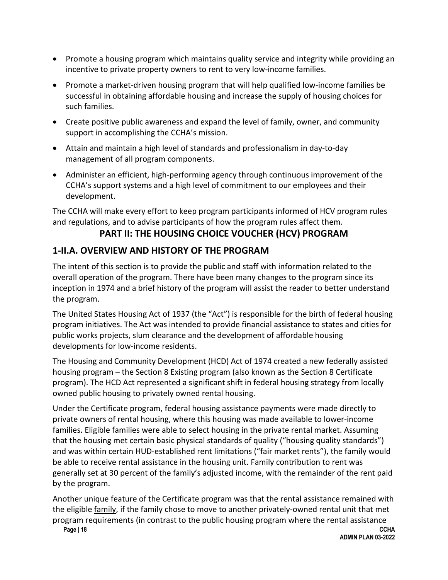- Promote a housing program which maintains quality service and integrity while providing an incentive to private property owners to rent to very low-income families.
- Promote a market-driven housing program that will help qualified low-income families be successful in obtaining affordable housing and increase the supply of housing choices for such families.
- Create positive public awareness and expand the level of family, owner, and community support in accomplishing the CCHA's mission.
- Attain and maintain a high level of standards and professionalism in day-to-day management of all program components.
- Administer an efficient, high-performing agency through continuous improvement of the CCHA's support systems and a high level of commitment to our employees and their development.

The CCHA will make every effort to keep program participants informed of HCV program rules and regulations, and to advise participants of how the program rules affect them.

### **PART II: THE HOUSING CHOICE VOUCHER (HCV) PROGRAM**

### **1-II.A. OVERVIEW AND HISTORY OF THE PROGRAM**

The intent of this section is to provide the public and staff with information related to the overall operation of the program. There have been many changes to the program since its inception in 1974 and a brief history of the program will assist the reader to better understand the program.

The United States Housing Act of 1937 (the "Act") is responsible for the birth of federal housing program initiatives. The Act was intended to provide financial assistance to states and cities for public works projects, slum clearance and the development of affordable housing developments for low-income residents.

The Housing and Community Development (HCD) Act of 1974 created a new federally assisted housing program – the Section 8 Existing program (also known as the Section 8 Certificate program). The HCD Act represented a significant shift in federal housing strategy from locally owned public housing to privately owned rental housing.

Under the Certificate program, federal housing assistance payments were made directly to private owners of rental housing, where this housing was made available to lower-income families. Eligible families were able to select housing in the private rental market. Assuming that the housing met certain basic physical standards of quality ("housing quality standards") and was within certain HUD-established rent limitations ("fair market rents"), the family would be able to receive rental assistance in the housing unit. Family contribution to rent was generally set at 30 percent of the family's adjusted income, with the remainder of the rent paid by the program.

Another unique feature of the Certificate program was that the rental assistance remained with the eligible family, if the family chose to move to another privately-owned rental unit that met program requirements (in contrast to the public housing program where the rental assistance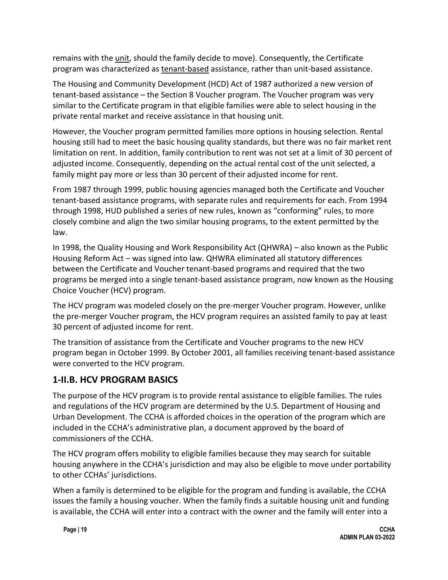remains with the unit, should the family decide to move). Consequently, the Certificate program was characterized as tenant-based assistance, rather than unit-based assistance.

The Housing and Community Development (HCD) Act of 1987 authorized a new version of tenant-based assistance – the Section 8 Voucher program. The Voucher program was very similar to the Certificate program in that eligible families were able to select housing in the private rental market and receive assistance in that housing unit.

However, the Voucher program permitted families more options in housing selection. Rental housing still had to meet the basic housing quality standards, but there was no fair market rent limitation on rent. In addition, family contribution to rent was not set at a limit of 30 percent of adjusted income. Consequently, depending on the actual rental cost of the unit selected, a family might pay more or less than 30 percent of their adjusted income for rent.

From 1987 through 1999, public housing agencies managed both the Certificate and Voucher tenant-based assistance programs, with separate rules and requirements for each. From 1994 through 1998, HUD published a series of new rules, known as "conforming" rules, to more closely combine and align the two similar housing programs, to the extent permitted by the law.

In 1998, the Quality Housing and Work Responsibility Act (QHWRA) – also known as the Public Housing Reform Act – was signed into law. QHWRA eliminated all statutory differences between the Certificate and Voucher tenant-based programs and required that the two programs be merged into a single tenant-based assistance program, now known as the Housing Choice Voucher (HCV) program.

The HCV program was modeled closely on the pre-merger Voucher program. However, unlike the pre-merger Voucher program, the HCV program requires an assisted family to pay at least 30 percent of adjusted income for rent.

The transition of assistance from the Certificate and Voucher programs to the new HCV program began in October 1999. By October 2001, all families receiving tenant-based assistance were converted to the HCV program.

# **1-II.B. HCV PROGRAM BASICS**

The purpose of the HCV program is to provide rental assistance to eligible families. The rules and regulations of the HCV program are determined by the U.S. Department of Housing and Urban Development. The CCHA is afforded choices in the operation of the program which are included in the CCHA's administrative plan, a document approved by the board of commissioners of the CCHA.

The HCV program offers mobility to eligible families because they may search for suitable housing anywhere in the CCHA's jurisdiction and may also be eligible to move under portability to other CCHAs' jurisdictions.

When a family is determined to be eligible for the program and funding is available, the CCHA issues the family a housing voucher. When the family finds a suitable housing unit and funding is available, the CCHA will enter into a contract with the owner and the family will enter into a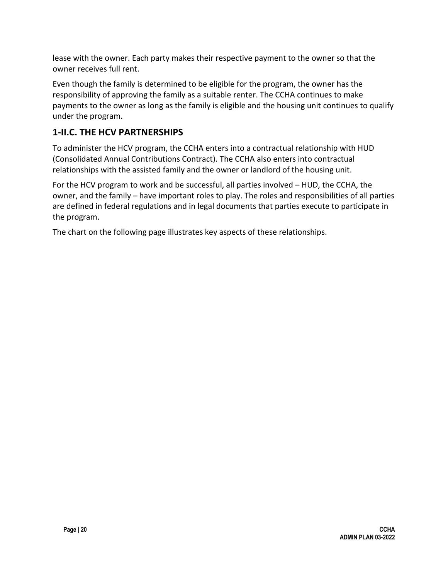lease with the owner. Each party makes their respective payment to the owner so that the owner receives full rent.

Even though the family is determined to be eligible for the program, the owner has the responsibility of approving the family as a suitable renter. The CCHA continues to make payments to the owner as long as the family is eligible and the housing unit continues to qualify under the program.

### **1-II.C. THE HCV PARTNERSHIPS**

To administer the HCV program, the CCHA enters into a contractual relationship with HUD (Consolidated Annual Contributions Contract). The CCHA also enters into contractual relationships with the assisted family and the owner or landlord of the housing unit.

For the HCV program to work and be successful, all parties involved – HUD, the CCHA, the owner, and the family – have important roles to play. The roles and responsibilities of all parties are defined in federal regulations and in legal documents that parties execute to participate in the program.

The chart on the following page illustrates key aspects of these relationships.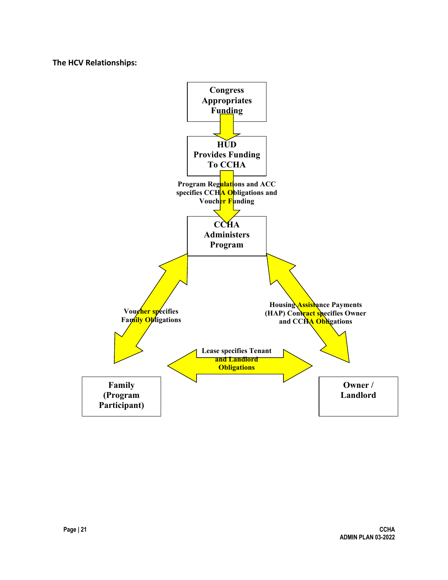**The HCV Relationships:**

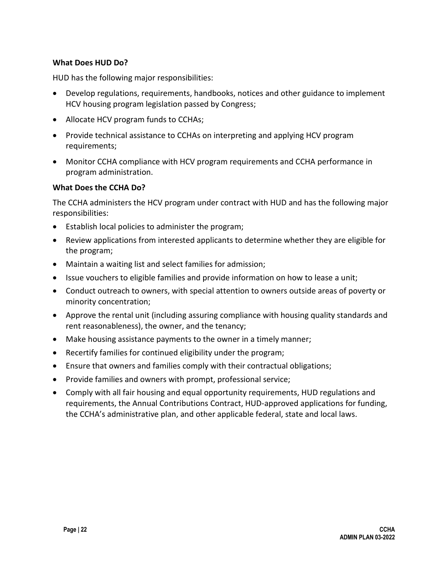#### **What Does HUD Do?**

HUD has the following major responsibilities:

- Develop regulations, requirements, handbooks, notices and other guidance to implement HCV housing program legislation passed by Congress;
- Allocate HCV program funds to CCHAs;
- Provide technical assistance to CCHAs on interpreting and applying HCV program requirements;
- Monitor CCHA compliance with HCV program requirements and CCHA performance in program administration.

#### **What Does the CCHA Do?**

The CCHA administers the HCV program under contract with HUD and has the following major responsibilities:

- Establish local policies to administer the program;
- Review applications from interested applicants to determine whether they are eligible for the program;
- Maintain a waiting list and select families for admission;
- Issue vouchers to eligible families and provide information on how to lease a unit;
- Conduct outreach to owners, with special attention to owners outside areas of poverty or minority concentration;
- Approve the rental unit (including assuring compliance with housing quality standards and rent reasonableness), the owner, and the tenancy;
- Make housing assistance payments to the owner in a timely manner;
- Recertify families for continued eligibility under the program;
- Ensure that owners and families comply with their contractual obligations;
- Provide families and owners with prompt, professional service;
- Comply with all fair housing and equal opportunity requirements, HUD regulations and requirements, the Annual Contributions Contract, HUD-approved applications for funding, the CCHA's administrative plan, and other applicable federal, state and local laws.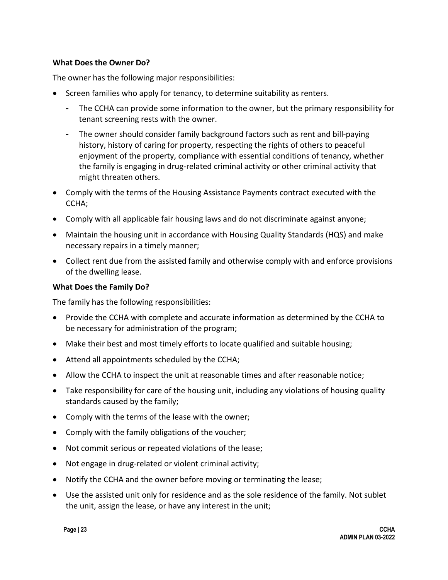#### **What Does the Owner Do?**

The owner has the following major responsibilities:

- Screen families who apply for tenancy, to determine suitability as renters.
	- The CCHA can provide some information to the owner, but the primary responsibility for tenant screening rests with the owner.
	- The owner should consider family background factors such as rent and bill-paying history, history of caring for property, respecting the rights of others to peaceful enjoyment of the property, compliance with essential conditions of tenancy, whether the family is engaging in drug-related criminal activity or other criminal activity that might threaten others.
- Comply with the terms of the Housing Assistance Payments contract executed with the CCHA;
- Comply with all applicable fair housing laws and do not discriminate against anyone;
- Maintain the housing unit in accordance with Housing Quality Standards (HQS) and make necessary repairs in a timely manner;
- Collect rent due from the assisted family and otherwise comply with and enforce provisions of the dwelling lease.

#### **What Does the Family Do?**

The family has the following responsibilities:

- Provide the CCHA with complete and accurate information as determined by the CCHA to be necessary for administration of the program;
- Make their best and most timely efforts to locate qualified and suitable housing;
- Attend all appointments scheduled by the CCHA;
- Allow the CCHA to inspect the unit at reasonable times and after reasonable notice;
- Take responsibility for care of the housing unit, including any violations of housing quality standards caused by the family;
- Comply with the terms of the lease with the owner;
- Comply with the family obligations of the voucher;
- Not commit serious or repeated violations of the lease;
- Not engage in drug-related or violent criminal activity;
- Notify the CCHA and the owner before moving or terminating the lease;
- Use the assisted unit only for residence and as the sole residence of the family. Not sublet the unit, assign the lease, or have any interest in the unit;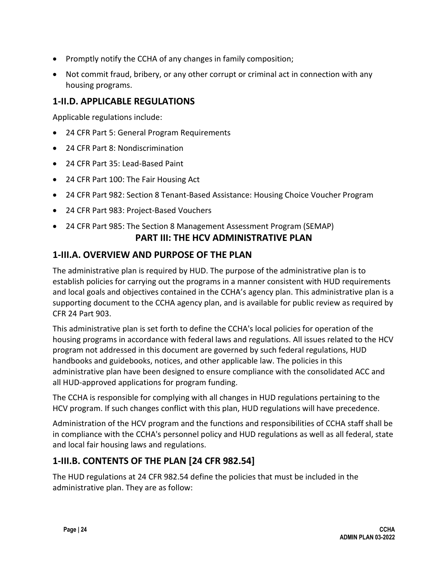- Promptly notify the CCHA of any changes in family composition;
- Not commit fraud, bribery, or any other corrupt or criminal act in connection with any housing programs.

### **1-II.D. APPLICABLE REGULATIONS**

Applicable regulations include:

- 24 CFR Part 5: General Program Requirements
- 24 CFR Part 8: Nondiscrimination
- 24 CFR Part 35: Lead-Based Paint
- 24 CFR Part 100: The Fair Housing Act
- 24 CFR Part 982: Section 8 Tenant-Based Assistance: Housing Choice Voucher Program
- 24 CFR Part 983: Project-Based Vouchers
- 24 CFR Part 985: The Section 8 Management Assessment Program (SEMAP) **PART III: THE HCV ADMINISTRATIVE PLAN**

### **1-III.A. OVERVIEW AND PURPOSE OF THE PLAN**

The administrative plan is required by HUD. The purpose of the administrative plan is to establish policies for carrying out the programs in a manner consistent with HUD requirements and local goals and objectives contained in the CCHA's agency plan. This administrative plan is a supporting document to the CCHA agency plan, and is available for public review as required by CFR 24 Part 903.

This administrative plan is set forth to define the CCHA's local policies for operation of the housing programs in accordance with federal laws and regulations. All issues related to the HCV program not addressed in this document are governed by such federal regulations, HUD handbooks and guidebooks, notices, and other applicable law. The policies in this administrative plan have been designed to ensure compliance with the consolidated ACC and all HUD-approved applications for program funding.

The CCHA is responsible for complying with all changes in HUD regulations pertaining to the HCV program. If such changes conflict with this plan, HUD regulations will have precedence.

Administration of the HCV program and the functions and responsibilities of CCHA staff shall be in compliance with the CCHA's personnel policy and HUD regulations as well as all federal, state and local fair housing laws and regulations.

# **1-III.B. CONTENTS OF THE PLAN [24 CFR 982.54]**

The HUD regulations at 24 CFR 982.54 define the policies that must be included in the administrative plan. They are as follow: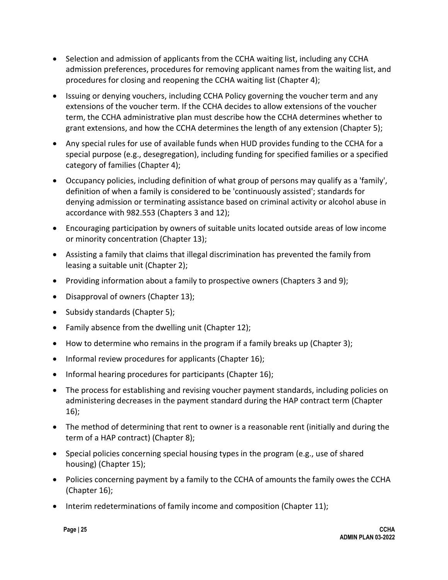- Selection and admission of applicants from the CCHA waiting list, including any CCHA admission preferences, procedures for removing applicant names from the waiting list, and procedures for closing and reopening the CCHA waiting list (Chapter 4);
- Issuing or denying vouchers, including CCHA Policy governing the voucher term and any extensions of the voucher term. If the CCHA decides to allow extensions of the voucher term, the CCHA administrative plan must describe how the CCHA determines whether to grant extensions, and how the CCHA determines the length of any extension (Chapter 5);
- Any special rules for use of available funds when HUD provides funding to the CCHA for a special purpose (e.g., desegregation), including funding for specified families or a specified category of families (Chapter 4);
- Occupancy policies, including definition of what group of persons may qualify as a 'family', definition of when a family is considered to be 'continuously assisted'; standards for denying admission or terminating assistance based on criminal activity or alcohol abuse in accordance with 982.553 (Chapters 3 and 12);
- Encouraging participation by owners of suitable units located outside areas of low income or minority concentration (Chapter 13);
- Assisting a family that claims that illegal discrimination has prevented the family from leasing a suitable unit (Chapter 2);
- Providing information about a family to prospective owners (Chapters 3 and 9);
- Disapproval of owners (Chapter 13);
- Subsidy standards (Chapter 5);
- Family absence from the dwelling unit (Chapter 12);
- How to determine who remains in the program if a family breaks up (Chapter 3);
- Informal review procedures for applicants (Chapter 16);
- Informal hearing procedures for participants (Chapter 16);
- The process for establishing and revising voucher payment standards, including policies on administering decreases in the payment standard during the HAP contract term (Chapter 16);
- The method of determining that rent to owner is a reasonable rent (initially and during the term of a HAP contract) (Chapter 8);
- Special policies concerning special housing types in the program (e.g., use of shared housing) (Chapter 15);
- Policies concerning payment by a family to the CCHA of amounts the family owes the CCHA (Chapter 16);
- Interim redeterminations of family income and composition (Chapter 11);